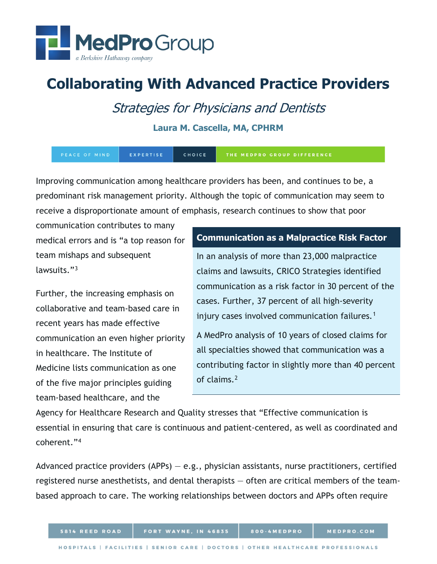

# **Collaborating With Advanced Practice Providers**

## Strategies for Physicians and Dentists

#### **Laura M. Cascella, MA, CPHRM**

| PEACE OF MIND | EXPERTISE | <b>CHOICE</b> | THE MEDPRO GROUP DIFFERENCE |
|---------------|-----------|---------------|-----------------------------|
|---------------|-----------|---------------|-----------------------------|

Improving communication among healthcare providers has been, and continues to be, a predominant risk management priority. Although the topic of communication may seem to receive a disproportionate amount of emphasis, research continues to show that poor

communication contributes to many medical errors and is "a top reason for team mishaps and subsequent lawsuits."[3](#page-6-0)

Further, the increasing emphasis on collaborative and team-based care in recent years has made effective communication an even higher priority in healthcare. The Institute of Medicine lists communication as one of the five major principles guiding team-based healthcare, and the

#### **Communication as a Malpractice Risk Factor**

In an analysis of more than 23,000 malpractice claims and lawsuits, CRICO Strategies identified communication as a risk factor in 30 percent of the cases. Further, 37 percent of all high-severity injury cases involved communication failures.<sup>[1](#page-6-2)</sup>

A MedPro analysis of 10 years of closed claims for all specialties showed that communication was a contributing factor in slightly more than 40 percent of claims.[2](#page-6-3)

Agency for Healthcare Research and Quality stresses that "Effective communication is essential in ensuring that care is continuous and patient-centered, as well as coordinated and coherent."[4](#page-6-1)

Advanced practice providers  $(APPs) - e.g.,$  physician assistants, nurse practitioners, certified registered nurse anesthetists, and dental therapists — often are critical members of the teambased approach to care. The working relationships between doctors and APPs often require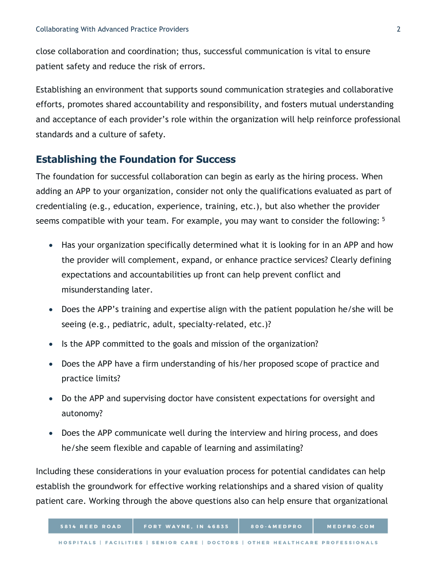close collaboration and coordination; thus, successful communication is vital to ensure patient safety and reduce the risk of errors.

Establishing an environment that supports sound communication strategies and collaborative efforts, promotes shared accountability and responsibility, and fosters mutual understanding and acceptance of each provider's role within the organization will help reinforce professional standards and a culture of safety.

## **Establishing the Foundation for Success**

The foundation for successful collaboration can begin as early as the hiring process. When adding an APP to your organization, consider not only the qualifications evaluated as part of credentialing (e.g., education, experience, training, etc.), but also whether the provider seems compatible with your team. For example, you may want to consider the following: <sup>[5](#page-6-4)</sup>

- Has your organization specifically determined what it is looking for in an APP and how the provider will complement, expand, or enhance practice services? Clearly defining expectations and accountabilities up front can help prevent conflict and misunderstanding later.
- Does the APP's training and expertise align with the patient population he/she will be seeing (e.g., pediatric, adult, specialty-related, etc.)?
- Is the APP committed to the goals and mission of the organization?
- Does the APP have a firm understanding of his/her proposed scope of practice and practice limits?
- Do the APP and supervising doctor have consistent expectations for oversight and autonomy?
- Does the APP communicate well during the interview and hiring process, and does he/she seem flexible and capable of learning and assimilating?

Including these considerations in your evaluation process for potential candidates can help establish the groundwork for effective working relationships and a shared vision of quality patient care. Working through the above questions also can help ensure that organizational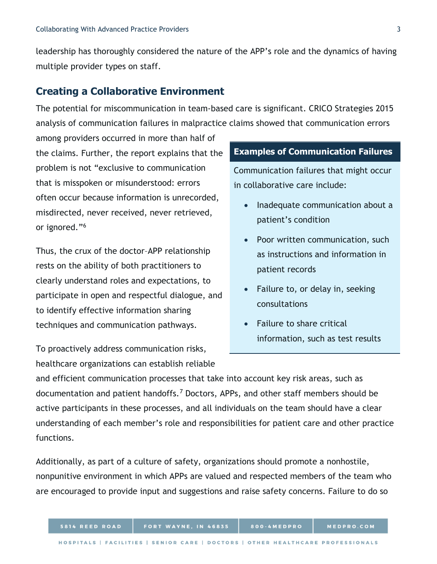leadership has thoroughly considered the nature of the APP's role and the dynamics of having multiple provider types on staff.

## **Creating a Collaborative Environment**

The potential for miscommunication in team-based care is significant. CRICO Strategies 2015 analysis of communication failures in malpractice claims showed that communication errors

among providers occurred in more than half of the claims. Further, the report explains that the problem is not "exclusive to communication that is misspoken or misunderstood: errors often occur because information is unrecorded, misdirected, never received, never retrieved, or ignored."[6](#page-6-5)

Thus, the crux of the doctor–APP relationship rests on the ability of both practitioners to clearly understand roles and expectations, to participate in open and respectful dialogue, and to identify effective information sharing techniques and communication pathways.

To proactively address communication risks, healthcare organizations can establish reliable

#### **Examples of Communication Failures**

Communication failures that might occur in collaborative care include:

- Inadequate communication about a patient's condition
- Poor written communication, such as instructions and information in patient records
- Failure to, or delay in, seeking consultations
- Failure to share critical information, such as test results

and efficient communication processes that take into account key risk areas, such as documentation and patient handoffs.[7](#page-6-6) Doctors, APPs, and other staff members should be active participants in these processes, and all individuals on the team should have a clear understanding of each member's role and responsibilities for patient care and other practice functions.

Additionally, as part of a culture of safety, organizations should promote a nonhostile, nonpunitive environment in which APPs are valued and respected members of the team who are encouraged to provide input and suggestions and raise safety concerns. Failure to do so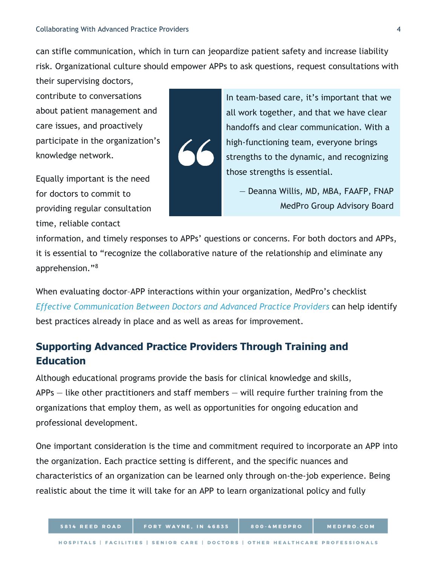can stifle communication, which in turn can jeopardize patient safety and increase liability risk. Organizational culture should empower APPs to ask questions, request consultations with their supervising doctors,

contribute to conversations about patient management and care issues, and proactively participate in the organization's knowledge network.

Equally important is the need for doctors to commit to providing regular consultation time, reliable contact



In team-based care, it's important that we all work together, and that we have clear handoffs and clear communication. With a high-functioning team, everyone brings strengths to the dynamic, and recognizing those strengths is essential.

— Deanna Willis, MD, MBA, FAAFP, FNAP MedPro Group Advisory Board

information, and timely responses to APPs' questions or concerns. For both doctors and APPs, it is essential to "recognize the collaborative nature of the relationship and eliminate any apprehension.["8](#page-6-7)

When evaluating doctor–APP interactions within your organization, MedPro's checklist *Effective Communication Between [Doctors and Advanced Practice Providers](https://www.medpro.com/documents/10502/2899801/Checklist_Effective+Communication.pdf)* can help identify best practices already in place and as well as areas for improvement.

## **Supporting Advanced Practice Providers Through Training and Education**

Although educational programs provide the basis for clinical knowledge and skills, APPs — like other practitioners and staff members — will require further training from the organizations that employ them, as well as opportunities for ongoing education and professional development.

One important consideration is the time and commitment required to incorporate an APP into the organization. Each practice setting is different, and the specific nuances and characteristics of an organization can be learned only through on-the-job experience. Being realistic about the time it will take for an APP to learn organizational policy and fully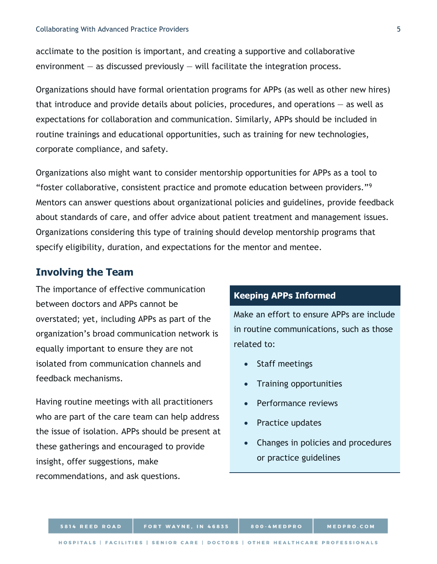acclimate to the position is important, and creating a supportive and collaborative environment  $-$  as discussed previously  $-$  will facilitate the integration process.

Organizations should have formal orientation programs for APPs (as well as other new hires) that introduce and provide details about policies, procedures, and operations  $-$  as well as expectations for collaboration and communication. Similarly, APPs should be included in routine trainings and educational opportunities, such as training for new technologies, corporate compliance, and safety.

Organizations also might want to consider mentorship opportunities for APPs as a tool to "foster collaborative, consistent practice and promote education between providers."[9](#page-6-8) Mentors can answer questions about organizational policies and guidelines, provide feedback about standards of care, and offer advice about patient treatment and management issues. Organizations considering this type of training should develop mentorship programs that specify eligibility, duration, and expectations for the mentor and mentee.

## **Involving the Team**

The importance of effective communication between doctors and APPs cannot be overstated; yet, including APPs as part of the organization's broad communication network is equally important to ensure they are not isolated from communication channels and feedback mechanisms.

Having routine meetings with all practitioners who are part of the care team can help address the issue of isolation. APPs should be present at these gatherings and encouraged to provide insight, offer suggestions, make recommendations, and ask questions.

## **Keeping APPs Informed**

Make an effort to ensure APPs are include in routine communications, such as those related to:

- Staff meetings
- Training opportunities
- Performance reviews
- Practice updates
- Changes in policies and procedures or practice guidelines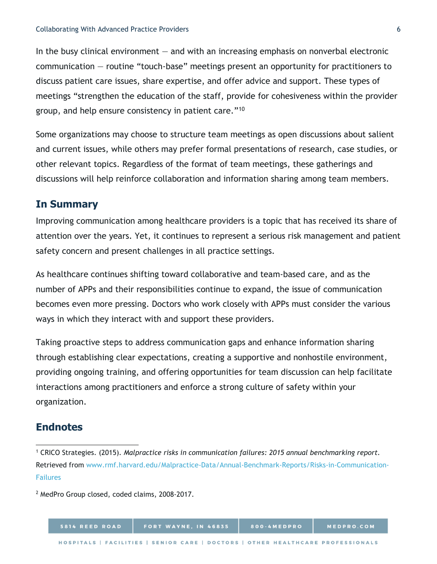In the busy clinical environment  $-$  and with an increasing emphasis on nonverbal electronic communication — routine "touch-base" meetings present an opportunity for practitioners to discuss patient care issues, share expertise, and offer advice and support. These types of meetings "strengthen the education of the staff, provide for cohesiveness within the provider group, and help ensure consistency in patient care."[10](#page-6-9)

Some organizations may choose to structure team meetings as open discussions about salient and current issues, while others may prefer formal presentations of research, case studies, or other relevant topics. Regardless of the format of team meetings, these gatherings and discussions will help reinforce collaboration and information sharing among team members.

#### **In Summary**

Improving communication among healthcare providers is a topic that has received its share of attention over the years. Yet, it continues to represent a serious risk management and patient safety concern and present challenges in all practice settings.

As healthcare continues shifting toward collaborative and team-based care, and as the number of APPs and their responsibilities continue to expand, the issue of communication becomes even more pressing. Doctors who work closely with APPs must consider the various ways in which they interact with and support these providers.

Taking proactive steps to address communication gaps and enhance information sharing through establishing clear expectations, creating a supportive and nonhostile environment, providing ongoing training, and offering opportunities for team discussion can help facilitate interactions among practitioners and enforce a strong culture of safety within your organization.

#### **Endnotes**

l

<sup>1</sup> CRICO Strategies. (2015). *Malpractice risks in communication failures: 2015 annual benchmarking report.* Retrieved from [www.rmf.harvard.edu/Malpractice-Data/Annual-Benchmark-Reports/Risks-in-Communication-](http://www.rmf.harvard.edu/Malpractice-Data/Annual-Benchmark-Reports/Risks-in-Communication-Failures)[Failures](http://www.rmf.harvard.edu/Malpractice-Data/Annual-Benchmark-Reports/Risks-in-Communication-Failures)

<sup>2</sup> MedPro Group closed, coded claims, 2008-2017.